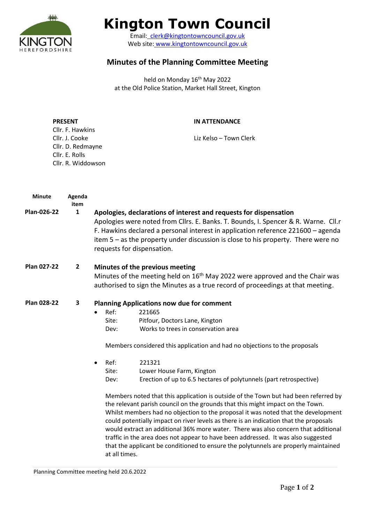

# **Kington Town Council**

Email: [clerk@kingtontowncouncil.gov.uk](mailto:clerk@kingtontowncouncil.gov.uk) Web site: [www.kingtontowncouncil.gov.uk](http://www.kingtontowncouncil.gov.uk/)

# **Minutes of the Planning Committee Meeting**

held on Monday 16<sup>th</sup> May 2022 at the Old Police Station, Market Hall Street, Kington

| <b>PRESENT</b>     | IN ATTENDANCE          |
|--------------------|------------------------|
| Cllr. F. Hawkins   |                        |
| Cllr. J. Cooke     | Liz Kelso – Town Clerk |
| Cllr. D. Redmayne  |                        |
| Cllr. E. Rolls     |                        |
| Cllr. R. Widdowson |                        |

| <b>Minute</b>      | Agenda<br>item |                                                                                                                                                                                                                                                                                                                                                                  |                                                                                                                                                                                                                                                                                                                                                                                                                                                                                                                                                                                                                       |  |
|--------------------|----------------|------------------------------------------------------------------------------------------------------------------------------------------------------------------------------------------------------------------------------------------------------------------------------------------------------------------------------------------------------------------|-----------------------------------------------------------------------------------------------------------------------------------------------------------------------------------------------------------------------------------------------------------------------------------------------------------------------------------------------------------------------------------------------------------------------------------------------------------------------------------------------------------------------------------------------------------------------------------------------------------------------|--|
| Plan-026-22        | 1              | Apologies, declarations of interest and requests for dispensation<br>Apologies were noted from Cllrs. E. Banks. T. Bounds, I. Spencer & R. Warne. Cll.r<br>F. Hawkins declared a personal interest in application reference 221600 - agenda<br>item $5 - as$ the property under discussion is close to his property. There were no<br>requests for dispensation. |                                                                                                                                                                                                                                                                                                                                                                                                                                                                                                                                                                                                                       |  |
| Plan 027-22        | $\overline{2}$ | Minutes of the previous meeting<br>Minutes of the meeting held on 16 <sup>th</sup> May 2022 were approved and the Chair was<br>authorised to sign the Minutes as a true record of proceedings at that meeting.                                                                                                                                                   |                                                                                                                                                                                                                                                                                                                                                                                                                                                                                                                                                                                                                       |  |
| <b>Plan 028-22</b> | 3              | <b>Planning Applications now due for comment</b>                                                                                                                                                                                                                                                                                                                 |                                                                                                                                                                                                                                                                                                                                                                                                                                                                                                                                                                                                                       |  |
|                    |                | Ref:<br>$\bullet$                                                                                                                                                                                                                                                                                                                                                | 221665                                                                                                                                                                                                                                                                                                                                                                                                                                                                                                                                                                                                                |  |
|                    |                | Site:                                                                                                                                                                                                                                                                                                                                                            | Pitfour, Doctors Lane, Kington                                                                                                                                                                                                                                                                                                                                                                                                                                                                                                                                                                                        |  |
|                    |                | Dev:                                                                                                                                                                                                                                                                                                                                                             | Works to trees in conservation area                                                                                                                                                                                                                                                                                                                                                                                                                                                                                                                                                                                   |  |
|                    |                |                                                                                                                                                                                                                                                                                                                                                                  | Members considered this application and had no objections to the proposals                                                                                                                                                                                                                                                                                                                                                                                                                                                                                                                                            |  |
|                    |                | Ref:<br>$\bullet$                                                                                                                                                                                                                                                                                                                                                | 221321                                                                                                                                                                                                                                                                                                                                                                                                                                                                                                                                                                                                                |  |
|                    |                | Site:                                                                                                                                                                                                                                                                                                                                                            | Lower House Farm, Kington                                                                                                                                                                                                                                                                                                                                                                                                                                                                                                                                                                                             |  |
|                    |                | Dev:                                                                                                                                                                                                                                                                                                                                                             | Erection of up to 6.5 hectares of polytunnels (part retrospective)                                                                                                                                                                                                                                                                                                                                                                                                                                                                                                                                                    |  |
|                    |                | at all times.                                                                                                                                                                                                                                                                                                                                                    | Members noted that this application is outside of the Town but had been referred by<br>the relevant parish council on the grounds that this might impact on the Town.<br>Whilst members had no objection to the proposal it was noted that the development<br>could potentially impact on river levels as there is an indication that the proposals<br>would extract an additional 36% more water. There was also concern that additional<br>traffic in the area does not appear to have been addressed. It was also suggested<br>that the applicant be conditioned to ensure the polytunnels are properly maintained |  |